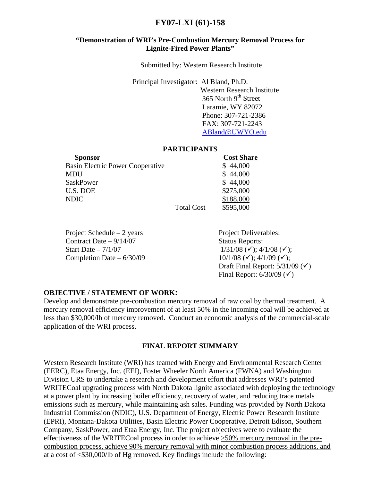# **FY07-LXI (61)-158**

# **"Demonstration of WRI's Pre-Combustion Mercury Removal Process for Lignite-Fired Power Plants"**

Submitted by: Western Research Institute

Principal Investigator: Al Bland, Ph.D.

 Western Research Institute  $365$  North 9<sup>th</sup> Street Laramie, WY 82072 Phone: 307-721-2386 FAX: 307-721-2243 [ABland@UWYO.edu](mailto:ABland@UWYO.edu)

#### **PARTICIPANTS**

| Sponsor                                 |                   | <b>Cost Share</b> |
|-----------------------------------------|-------------------|-------------------|
| <b>Basin Electric Power Cooperative</b> |                   | \$44,000          |
| MDU                                     |                   | \$44,000          |
| <b>SaskPower</b>                        |                   | \$44,000          |
| U.S. DOE                                |                   | \$275,000         |
| <b>NDIC</b>                             |                   | \$188,000         |
|                                         | <b>Total Cost</b> | \$595,000         |
|                                         |                   |                   |

Project Schedule – 2 years Project Deliverables: Contract Date – 9/14/07 Status Reports: Start Date – 7/1/07  $1/31/08 \, (\checkmark); 4/1/08 \, (\checkmark);$ Completion Date – 6/30/09  $10/1/08$  ( $\checkmark$ ); 4/1/09 ( $\checkmark$ );

Draft Final Report:  $5/31/09$  ( $\checkmark$ ) Final Report:  $6/30/09$  ( $\checkmark$ )

## **OBJECTIVE / STATEMENT OF WORK:**

Develop and demonstrate pre-combustion mercury removal of raw coal by thermal treatment. A mercury removal efficiency improvement of at least 50% in the incoming coal will be achieved at less than \$30,000/lb of mercury removed. Conduct an economic analysis of the commercial-scale application of the WRI process.

## **FINAL REPORT SUMMARY**

Western Research Institute (WRI) has teamed with Energy and Environmental Research Center (EERC), Etaa Energy, Inc. (EEI), Foster Wheeler North America (FWNA) and Washington Division URS to undertake a research and development effort that addresses WRI's patented WRITECoal upgrading process with North Dakota lignite associated with deploying the technology at a power plant by increasing boiler efficiency, recovery of water, and reducing trace metals emissions such as mercury, while maintaining ash sales. Funding was provided by North Dakota Industrial Commission (NDIC), U.S. Department of Energy, Electric Power Research Institute (EPRI), Montana-Dakota Utilities, Basin Electric Power Cooperative, Detroit Edison, Southern Company, SaskPower, and Etaa Energy, Inc. The project objectives were to evaluate the effectiveness of the WRITECoal process in order to achieve >50% mercury removal in the precombustion process, achieve 90% mercury removal with minor combustion process additions, and at a cost of <\$30,000/lb of Hg removed. Key findings include the following: